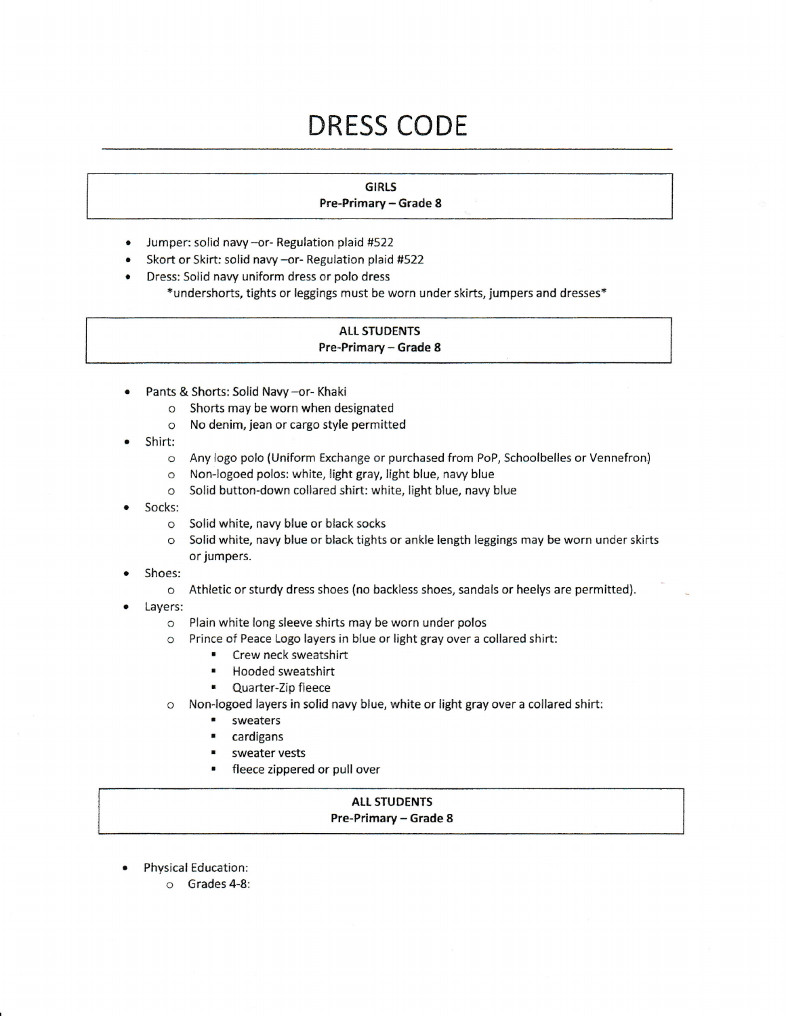# DRESS CODE

## GIRLS

### Pre-Primary - Grade 8

- Jumper: solid navy -or- Regulation plaid #522
- . Skort or Skirt: solid navy -or- Regulation plaid #522
- Dress: Solid navy uniform dress or polo dress
	- \*undershorts, tights or leggings must be worn under skirts, jumpers and dresses\*

#### **ALL STUDENTS** Pre-Primary - Grade 8

- Pants & Shorts: Solid Navy -or- Khaki
	- o Shorts may be worn when designated
	- o No denim, jean or cargo style permitted
- Shirt:
	- o Any logo polo (Uniform Exchange or purchased from PoP, Schoolbelles or Vennefron)
	- o Non-logoed polos: white, light gray, light blue, navy blue
	- o Solid button-down collared shirt: white, light blue, navy blue
- Socks:
	- o Solid white, navy blue or black socks
	- o Solid white, navy blue or black tights or ankle length leggings may be worn under skirts or jumpers.
- Shoes:
	- o Athletic or sturdy dress shoes (no backless shoes, sandals or heelys are permitted).
- . Layers:
	- c Plain white long sleeve shirts may be worn under polos
	- o Prince of Peace Logo layers in blue or light gray over a collared shirt:
		- r Crew neck sweatshirt
		- . Hooded sweatshirt
		- r Quarter-Zip fleece
	- o Non-iogoed layers in solid navy blue, white or light gray over a collared shirt:
		- . sweaters
		- . cardigans
		- . sweater vests
		- fleece zippered or pull over

#### ALL STUDENTS Pre-Primary - Grade 8

- . Physical Education:
	- o Grades 4-8: